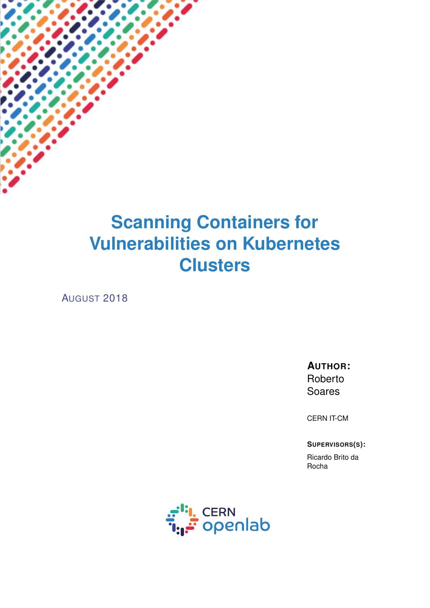# **Scanning Containers for Vulnerabilities on Kubernetes Clusters**

AUGUST 2018

**AUTHOR:** Roberto Soares

CERN IT-CM

**SUPERVISORS(S):**

Ricardo Brito da Rocha

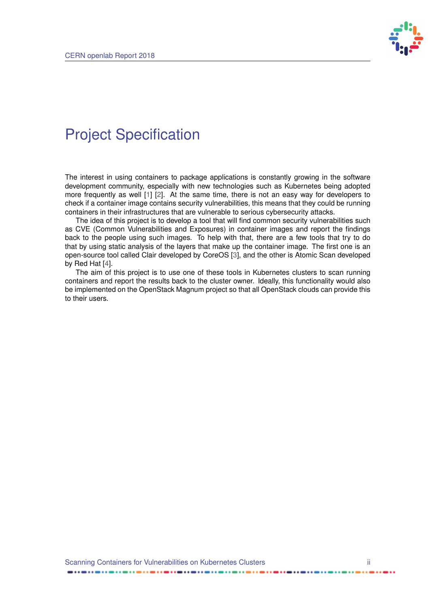

### <span id="page-1-0"></span>Project Specification

The interest in using containers to package applications is constantly growing in the software development community, especially with new technologies such as Kubernetes being adopted more frequently as well [\[1\]](#page-13-0) [\[2\]](#page-13-1). At the same time, there is not an easy way for developers to check if a container image contains security vulnerabilities, this means that they could be running containers in their infrastructures that are vulnerable to serious cybersecurity attacks.

The idea of this project is to develop a tool that will find common security vulnerabilities such as CVE (Common Vulnerabilities and Exposures) in container images and report the findings back to the people using such images. To help with that, there are a few tools that try to do that by using static analysis of the layers that make up the container image. The first one is an open-source tool called Clair developed by CoreOS [\[3\]](#page-13-2), and the other is Atomic Scan developed by Red Hat [\[4\]](#page-13-3).

The aim of this project is to use one of these tools in Kubernetes clusters to scan running containers and report the results back to the cluster owner. Ideally, this functionality would also be implemented on the OpenStack Magnum project so that all OpenStack clouds can provide this to their users.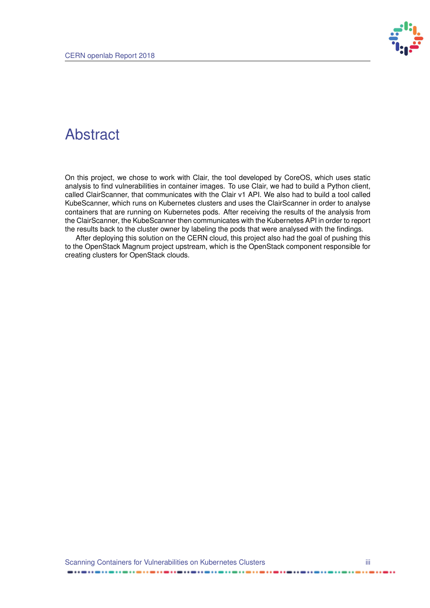

### Abstract

On this project, we chose to work with Clair, the tool developed by CoreOS, which uses static analysis to find vulnerabilities in container images. To use Clair, we had to build a Python client, called ClairScanner, that communicates with the Clair v1 API. We also had to build a tool called KubeScanner, which runs on Kubernetes clusters and uses the ClairScanner in order to analyse containers that are running on Kubernetes pods. After receiving the results of the analysis from the ClairScanner, the KubeScanner then communicates with the Kubernetes API in order to report the results back to the cluster owner by labeling the pods that were analysed with the findings.

After deploying this solution on the CERN cloud, this project also had the goal of pushing this to the OpenStack Magnum project upstream, which is the OpenStack component responsible for creating clusters for OpenStack clouds.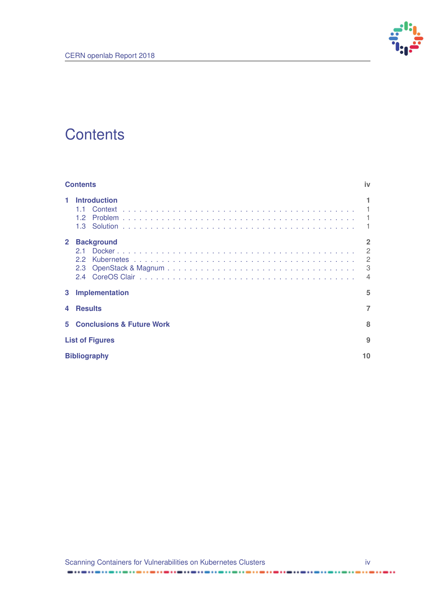

### <span id="page-3-0"></span>**Contents**

|              | <b>Contents</b>                            |                                                                           |  |  |
|--------------|--------------------------------------------|---------------------------------------------------------------------------|--|--|
|              | <b>Introduction</b><br>11<br>12            |                                                                           |  |  |
| $\mathbf{2}$ | <b>Background</b><br>21<br>22<br>2.3<br>24 | $\overline{2}$<br>$\mathfrak{p}$<br>$\overline{2}$<br>3<br>$\overline{4}$ |  |  |
| 3            | <b>Implementation</b>                      | 5                                                                         |  |  |
|              | <b>Results</b>                             | 7                                                                         |  |  |
| 5.           | <b>Conclusions &amp; Future Work</b>       | 8                                                                         |  |  |
|              | <b>List of Figures</b>                     |                                                                           |  |  |
|              | <b>Bibliography</b><br>10                  |                                                                           |  |  |

 $\frac{1}{2}$ 

......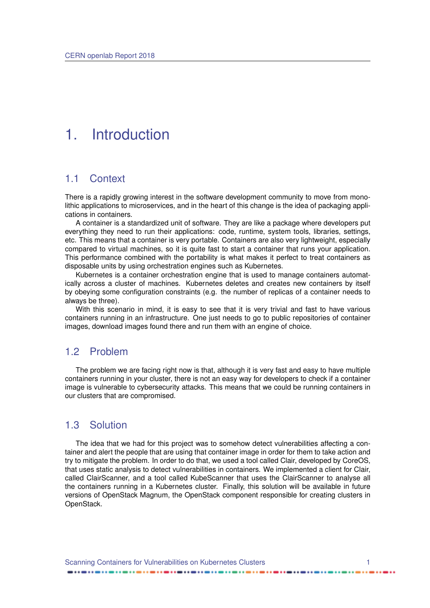### <span id="page-4-0"></span>1. Introduction

#### <span id="page-4-1"></span>1.1 Context

There is a rapidly growing interest in the software development community to move from monolithic applications to microservices, and in the heart of this change is the idea of packaging applications in containers.

A container is a standardized unit of software. They are like a package where developers put everything they need to run their applications: code, runtime, system tools, libraries, settings, etc. This means that a container is very portable. Containers are also very lightweight, especially compared to virtual machines, so it is quite fast to start a container that runs your application. This performance combined with the portability is what makes it perfect to treat containers as disposable units by using orchestration engines such as Kubernetes.

Kubernetes is a container orchestration engine that is used to manage containers automatically across a cluster of machines. Kubernetes deletes and creates new containers by itself by obeying some configuration constraints (e.g. the number of replicas of a container needs to always be three).

With this scenario in mind, it is easy to see that it is very trivial and fast to have various containers running in an infrastructure. One just needs to go to public repositories of container images, download images found there and run them with an engine of choice.

#### <span id="page-4-2"></span>1.2 Problem

The problem we are facing right now is that, although it is very fast and easy to have multiple containers running in your cluster, there is not an easy way for developers to check if a container image is vulnerable to cybersecurity attacks. This means that we could be running containers in our clusters that are compromised.

#### <span id="page-4-3"></span>1.3 Solution

The idea that we had for this project was to somehow detect vulnerabilities affecting a container and alert the people that are using that container image in order for them to take action and try to mitigate the problem. In order to do that, we used a tool called Clair, developed by CoreOS, that uses static analysis to detect vulnerabilities in containers. We implemented a client for Clair, called ClairScanner, and a tool called KubeScanner that uses the ClairScanner to analyse all the containers running in a Kubernetes cluster. Finally, this solution will be available in future versions of OpenStack Magnum, the OpenStack component responsible for creating clusters in OpenStack.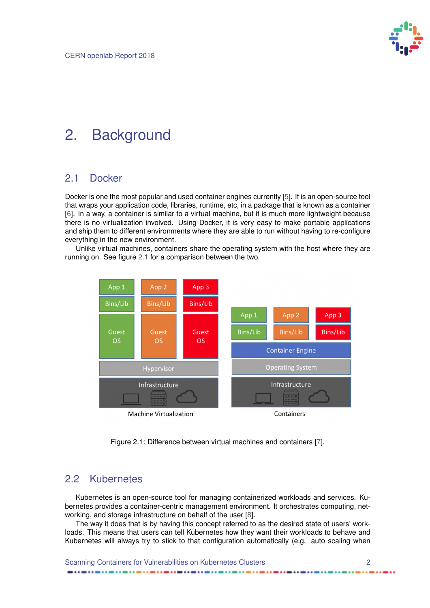

### <span id="page-5-4"></span><span id="page-5-0"></span>2. Background

#### <span id="page-5-1"></span>2.1 Docker

Docker is one the most popular and used container engines currently [\[5\]](#page-13-5). It is an open-source tool that wraps your application code, libraries, runtime, etc, in a package that is known as a container [\[6\]](#page-13-6). In a way, a container is similar to a virtual machine, but it is much more lightweight because there is no virtualization involved. Using Docker, it is very easy to make portable applications and ship them to different environments where they are able to run without having to re-configure everything in the new environment.

Unlike virtual machines, containers share the operating system with the host where they are running on. See figure [2.1](#page-5-3) for a comparison between the two.

<span id="page-5-3"></span>

Figure 2.1: Difference between virtual machines and containers [\[7\]](#page-13-7).

#### <span id="page-5-2"></span>2.2 Kubernetes

Kubernetes is an open-source tool for managing containerized workloads and services. Kubernetes provides a container-centric management environment. It orchestrates computing, networking, and storage infrastructure on behalf of the user [\[8\]](#page-13-8).

The way it does that is by having this concept referred to as the desired state of users' workloads. This means that users can tell Kubernetes how they want their workloads to behave and Kubernetes will always try to stick to that configuration automatically (e.g. auto scaling when

Scanning Containers for Vulnerabilities on Kubernetes Clusters 2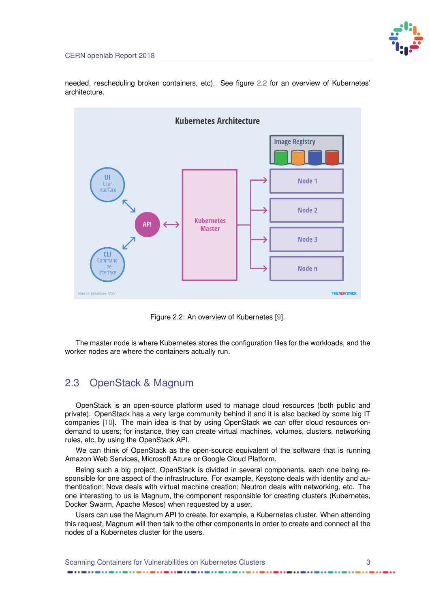

<span id="page-6-2"></span>needed, rescheduling broken containers, etc). See figure [2.2](#page-6-1) for an overview of Kubernetes' architecture.

<span id="page-6-1"></span>

Figure 2.2: An overview of Kubernetes [\[9\]](#page-13-9).

The master node is where Kubernetes stores the configuration files for the workloads, and the worker nodes are where the containers actually run.

#### <span id="page-6-0"></span>2.3 OpenStack & Magnum

OpenStack is an open-source platform used to manage cloud resources (both public and private). OpenStack has a very large community behind it and it is also backed by some big IT companies [\[10\]](#page-13-10). The main idea is that by using OpenStack we can offer cloud resources ondemand to users; for instance, they can create virtual machines, volumes, clusters, networking rules, etc, by using the OpenStack API.

We can think of OpenStack as the open-source equivalent of the software that is running Amazon Web Services, Microsoft Azure or Google Cloud Platform.

Being such a big project, OpenStack is divided in several components, each one being responsible for one aspect of the infrastructure. For example, Keystone deals with identity and authentication; Nova deals with virtual machine creation; Neutron deals with networking, etc. The one interesting to us is Magnum, the component responsible for creating clusters (Kubernetes, Docker Swarm, Apache Mesos) when requested by a user.

Users can use the Magnum API to create, for example, a Kubernetes cluster. When attending this request, Magnum will then talk to the other components in order to create and connect all the nodes of a Kubernetes cluster for the users.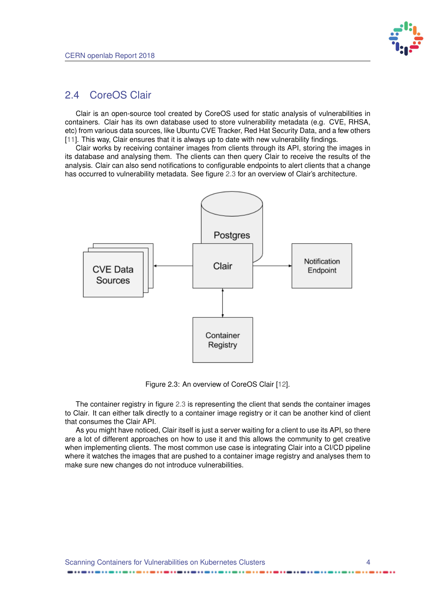

#### <span id="page-7-2"></span><span id="page-7-0"></span>2.4 CoreOS Clair

Clair is an open-source tool created by CoreOS used for static analysis of vulnerabilities in containers. Clair has its own database used to store vulnerability metadata (e.g. CVE, RHSA, etc) from various data sources, like Ubuntu CVE Tracker, Red Hat Security Data, and a few others [\[11\]](#page-13-11). This way, Clair ensures that it is always up to date with new vulnerability findings.

Clair works by receiving container images from clients through its API, storing the images in its database and analysing them. The clients can then query Clair to receive the results of the analysis. Clair can also send notifications to configurable endpoints to alert clients that a change has occurred to vulnerability metadata. See figure [2.3](#page-7-1) for an overview of Clair's architecture.

<span id="page-7-1"></span>

Figure 2.3: An overview of CoreOS Clair [\[12\]](#page-13-12).

The container registry in figure [2.3](#page-7-1) is representing the client that sends the container images to Clair. It can either talk directly to a container image registry or it can be another kind of client that consumes the Clair API.

As you might have noticed, Clair itself is just a server waiting for a client to use its API, so there are a lot of different approaches on how to use it and this allows the community to get creative when implementing clients. The most common use case is integrating Clair into a CI/CD pipeline where it watches the images that are pushed to a container image registry and analyses them to make sure new changes do not introduce vulnerabilities.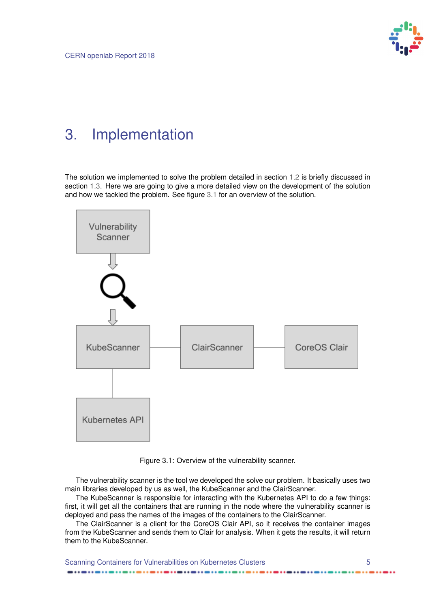

### <span id="page-8-0"></span>3. Implementation

The solution we implemented to solve the problem detailed in section [1.2](#page-4-2) is briefly discussed in section [1.3.](#page-4-3) Here we are going to give a more detailed view on the development of the solution and how we tackled the problem. See figure [3.1](#page-8-1) for an overview of the solution.

<span id="page-8-1"></span>

Figure 3.1: Overview of the vulnerability scanner.

The vulnerability scanner is the tool we developed the solve our problem. It basically uses two main libraries developed by us as well, the KubeScanner and the ClairScanner.

The KubeScanner is responsible for interacting with the Kubernetes API to do a few things: first, it will get all the containers that are running in the node where the vulnerability scanner is deployed and pass the names of the images of the containers to the ClairScanner.

The ClairScanner is a client for the CoreOS Clair API, so it receives the container images from the KubeScanner and sends them to Clair for analysis. When it gets the results, it will return them to the KubeScanner.

Scanning Containers for Vulnerabilities on Kubernetes Clusters 5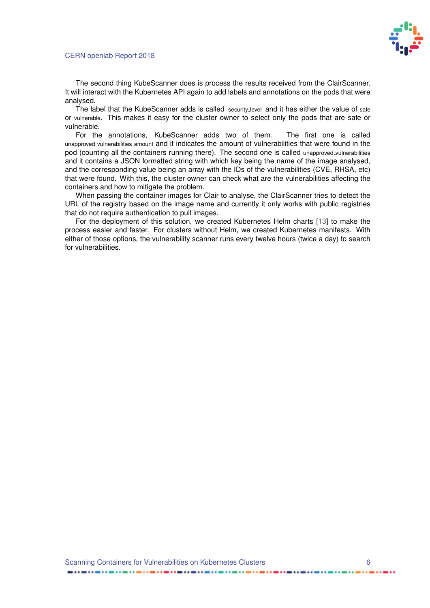

<span id="page-9-0"></span>The second thing KubeScanner does is process the results received from the ClairScanner. It will interact with the Kubernetes API again to add labels and annotations on the pods that were analysed.

The label that the KubeScanner adds is called security level and it has either the value of safe or vulnerable. This makes it easy for the cluster owner to select only the pods that are safe or vulnerable.

For the annotations, KubeScanner adds two of them. The first one is called unapproved vulnerabilities amount and it indicates the amount of vulnerabilities that were found in the pod (counting all the containers running there). The second one is called unapproved vulnerabilities and it contains a JSON formatted string with which key being the name of the image analysed, and the corresponding value being an array with the IDs of the vulnerabilities (CVE, RHSA, etc) that were found. With this, the cluster owner can check what are the vulnerabilities affecting the containers and how to mitigate the problem.

When passing the container images for Clair to analyse, the ClairScanner tries to detect the URL of the registry based on the image name and currently it only works with public registries that do not require authentication to pull images.

For the deployment of this solution, we created Kubernetes Helm charts [\[13\]](#page-13-13) to make the process easier and faster. For clusters without Helm, we created Kubernetes manifests. With either of those options, the vulnerability scanner runs every twelve hours (twice a day) to search for vulnerabilities.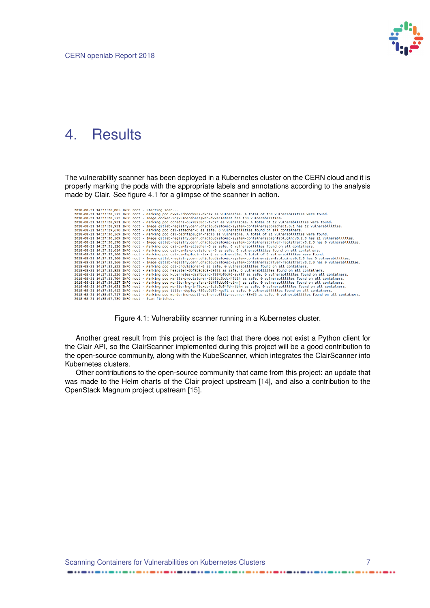

### <span id="page-10-2"></span><span id="page-10-0"></span>4. Results

The vulnerability scanner has been deployed in a Kubernetes cluster on the CERN cloud and it is properly marking the pods with the appropriate labels and annotations according to the analysis made by Clair. See figure [4.1](#page-10-1) for a glimpse of the scanner in action.

<span id="page-10-1"></span>

| 2018-08-21 14:37:26.085 INFO root - Starting scan                                                                                               |  |
|-------------------------------------------------------------------------------------------------------------------------------------------------|--|
| 2018-08-21 14:37:28,572 INFO root - Marking pod dvwa-5bb6cd9987-nknsx as vulnerable. A total of 138 vulnerabilities were found.                 |  |
| 2018-08-21 14:37:28,572 INFO root - Image docker.io/vulnerables/web-dvwa:latest has 138 vulnerabilities.                                        |  |
| 2018-08-21 14:37:28.931 INFO root - Marking pod coredns-65778958d5-fkc7r as vulnerable. A total of 12 vulnerabilities were found.               |  |
| 2018-08-21 14:37:28.931 INFO root - Image gitlab-registry.cern.ch/cloud/atomic-system-containers/coredns:1.0.1 has 12 vulnerabilities.          |  |
| 2018-08-21 14:37:29.670 INFO root - Marking pod csi-attacher-0 as safe. 0 vulnerabilities found on all containers.                              |  |
| 2018-08-21 14:37:30,569 INFO root - Marking pod csi-cephfsplugin-hscl5 as vulnerable. A total of 21 vulnerabilities were found.                 |  |
| 2018-08-21 14:37:30,569 INFO root - Image gitlab-registry.cern.ch/cloud/atomic-system-containers/cephfsplugin:v0.2.0 has 21 vulnerabilities.    |  |
| 2018-08-21 14:37:30.570 INFO root - Image gitlab-registry.cern.ch/cloud/atomic-system-containers/driver-registrar:v0.2.0 has 0 vulnerabilities. |  |
| 2018-08-21 14:37:31.126 INFO root - Marking pod csi-cvmfs-attacher-0 as safe. 0 vulnerabilities found on all containers.                        |  |
| 2018-08-21 14:37:31.614 INFO root - Marking pod csi-cvmfs-provisioner-0 as safe. 0 vulnerabilities found on all containers.                     |  |
| 2018-08-21 14:37:32,160 INFO root - Marking pod csi-cvmfsplugin-tzxnj as vulnerable. A total of 6 vulnerabilities were found.                   |  |
| 2018-08-21 14:37:32,160 INFO root - Image gitlab-registry.cern.ch/cloud/atomic-system-containers/cvmfsplugin:v0.2.0 has 6 vulnerabilities.      |  |
|                                                                                                                                                 |  |
| 2018-08-21 14:37:32.160 INFO root - Image gitlab-registry.cern.ch/cloud/atomic-system-containers/driver-registrar:v0.2.0 has 0 vulnerabilities. |  |
| 2018-08-21 14:37:32.522 INFO root - Marking pod csi-provisioner-0 as safe. 0 vulnerabilities found on all containers.                           |  |
| 2018-08-21 14:37:32.928 INFO root - Marking pod heapster-6bf9b9d8d9-d9722 as safe. 0 vulnerabilities found on all containers.                   |  |
| 2018-08-21 14:37:33.236 INFO root - Marking pod kubernetes-dashboard-7974bf6d45-svkl7 as safe. 0 vulnerabilities found on all containers.       |  |
| 2018-08-21 14:37:33.704 INFO root - Marking pod manila-provisioner-68686c5bdc-hlb2h as safe. 0 vulnerabilities found on all containers.         |  |
| 2018-08-21 14:37:34,327 INFO root - Marking pod monitoring-grafana-6d4ffdbb98-g6mnj as safe. 0 vulnerabilities found on all containers.         |  |
| 2018-08-21 14:37:34.631 INFO root - Marking pod monitoring-influxdb-6c6c9b54fd-ntbhm as safe. 0 vulnerabilities found on all containers.        |  |
| 2018-08-21 14:37:35.412 INFO root - Marking pod tiller-deploy-759cb9df9-kgdft as safe. 0 vulnerabilities found on all containers.               |  |
| 2018-08-21 14:38:07.717 INFO root - Marking pod wandering-quail-vulnerability-scanner-55w76 as safe. 0 vulnerabilities found on all containers. |  |
| 2018-08-21 14:38:07.739 INFO root - Scan finished.                                                                                              |  |

Figure 4.1: Vulnerability scanner running in a Kubernetes cluster.

Another great result from this project is the fact that there does not exist a Python client for the Clair API, so the ClairScanner implemented during this project will be a good contribution to the open-source community, along with the KubeScanner, which integrates the ClairScanner into Kubernetes clusters.

Other contributions to the open-source community that came from this project: an update that was made to the Helm charts of the Clair project upstream [\[14\]](#page-13-14), and also a contribution to the OpenStack Magnum project upstream [\[15\]](#page-13-15).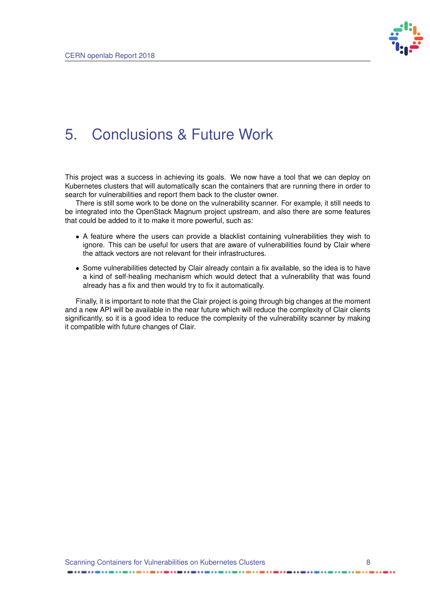

### <span id="page-11-0"></span>5. Conclusions & Future Work

This project was a success in achieving its goals. We now have a tool that we can deploy on Kubernetes clusters that will automatically scan the containers that are running there in order to search for vulnerabilities and report them back to the cluster owner.

There is still some work to be done on the vulnerability scanner. For example, it still needs to be integrated into the OpenStack Magnum project upstream, and also there are some features that could be added to it to make it more powerful, such as:

- A feature where the users can provide a blacklist containing vulnerabilities they wish to ignore. This can be useful for users that are aware of vulnerabilities found by Clair where the attack vectors are not relevant for their infrastructures.
- Some vulnerabilities detected by Clair already contain a fix available, so the idea is to have a kind of self-healing mechanism which would detect that a vulnerability that was found already has a fix and then would try to fix it automatically.

Finally, it is important to note that the Clair project is going through big changes at the moment and a new API will be available in the near future which will reduce the complexity of Clair clients significantly, so it is a good idea to reduce the complexity of the vulnerability scanner by making it compatible with future changes of Clair.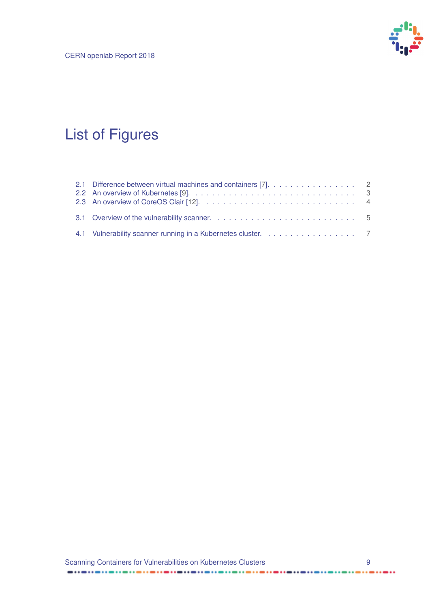

## <span id="page-12-1"></span><span id="page-12-0"></span>List of Figures

| 2.1 Difference between virtual machines and containers [7]. 2 |  |
|---------------------------------------------------------------|--|
|                                                               |  |
|                                                               |  |
|                                                               |  |
|                                                               |  |

 $\frac{1}{2}$ 

 $\cdots$